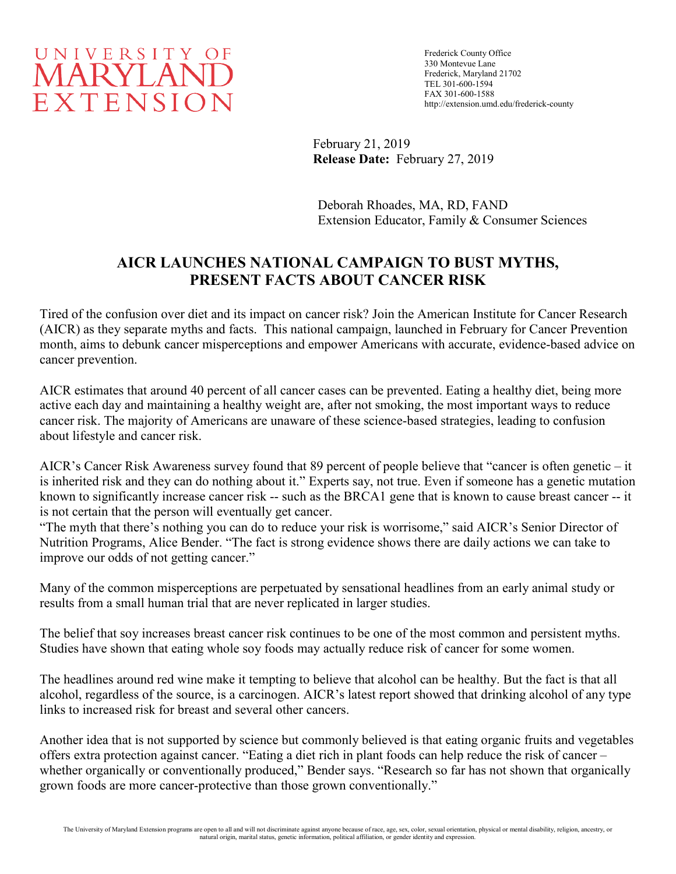

Frederick County Office 330 Montevue Lane Frederick, Maryland 21702 TEL 301-600-1594 FAX 301-600-1588 http://extension.umd.edu/frederick-county

February 21, 2019 **Release Date:** February 27, 2019

Deborah Rhoades, MA, RD, FAND Extension Educator, Family & Consumer Sciences

## **AICR LAUNCHES NATIONAL CAMPAIGN TO BUST MYTHS, PRESENT FACTS ABOUT CANCER RISK**

Tired of the confusion over diet and its impact on cancer risk? Join the American Institute for Cancer Research (AICR) as they separate myths and facts. This national campaign, launched in February for Cancer Prevention month, aims to debunk cancer misperceptions and empower Americans with accurate, evidence-based advice on cancer prevention.

AICR estimates that around 40 percent of all cancer cases can be prevented. Eating a healthy diet, being more active each day and maintaining a healthy weight are, after not smoking, the most important ways to reduce cancer risk. The majority of Americans are unaware of these science-based strategies, leading to confusion about lifestyle and cancer risk.

AICR's Cancer Risk Awareness survey found that 89 percent of people believe that "cancer is often genetic – it is inherited risk and they can do nothing about it." Experts say, not true. Even if someone has a genetic mutation known to significantly increase cancer risk -- such as the BRCA1 gene that is known to cause breast cancer -- it is not certain that the person will eventually get cancer.

"The myth that there's nothing you can do to reduce your risk is worrisome," said AICR's Senior Director of Nutrition Programs, Alice Bender. "The fact is strong evidence shows there are daily actions we can take to improve our odds of not getting cancer."

Many of the common misperceptions are perpetuated by sensational headlines from an early animal study or results from a small human trial that are never replicated in larger studies.

The belief that soy increases breast cancer risk continues to be one of the most common and persistent myths. Studies have shown that eating whole soy foods may actually reduce risk of cancer for some women.

The headlines around red wine make it tempting to believe that alcohol can be healthy. But the fact is that all alcohol, regardless of the source, is a carcinogen. AICR's latest report showed that drinking alcohol of any type links to increased risk for breast and several other cancers.

Another idea that is not supported by science but commonly believed is that eating organic fruits and vegetables offers extra protection against cancer. "Eating a diet rich in plant foods can help reduce the risk of cancer – whether organically or conventionally produced," Bender says. "Research so far has not shown that organically grown foods are more cancer-protective than those grown conventionally."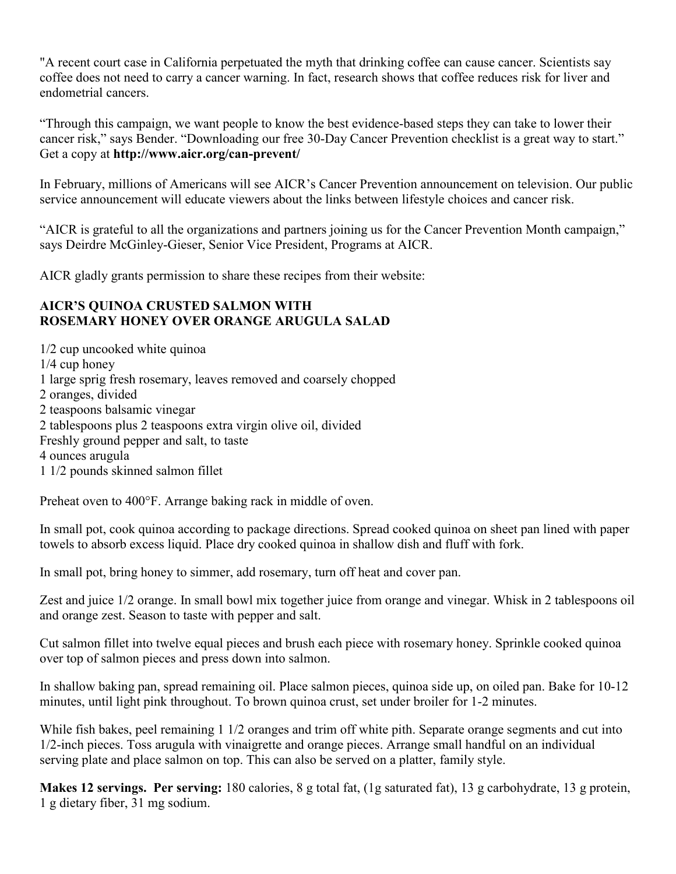"A recent court case in California perpetuated the myth that drinking coffee can cause cancer. Scientists say coffee does not need to carry a cancer warning. In fact, research shows that coffee reduces risk for liver and endometrial cancers.

"Through this campaign, we want people to know the best evidence-based steps they can take to lower their cancer risk," says Bender. "Downloading our free 30-Day Cancer Prevention checklist is a great way to start." Get a copy at **http://www.aicr.org/can-prevent/**

In February, millions of Americans will see AICR's Cancer Prevention announcement on television. Our public service announcement will educate viewers about the links between lifestyle choices and cancer risk.

"AICR is grateful to all the organizations and partners joining us for the Cancer Prevention Month campaign," says Deirdre McGinley-Gieser, Senior Vice President, Programs at AICR.

AICR gladly grants permission to share these recipes from their website:

## **AICR'S QUINOA CRUSTED SALMON WITH ROSEMARY HONEY OVER ORANGE ARUGULA SALAD**

1/2 cup uncooked white quinoa 1/4 cup honey 1 large sprig fresh rosemary, leaves removed and coarsely chopped 2 oranges, divided 2 teaspoons balsamic vinegar 2 tablespoons plus 2 teaspoons extra virgin olive oil, divided Freshly ground pepper and salt, to taste 4 ounces arugula 1 1/2 pounds skinned salmon fillet

Preheat oven to 400°F. Arrange baking rack in middle of oven.

In small pot, cook quinoa according to package directions. Spread cooked quinoa on sheet pan lined with paper towels to absorb excess liquid. Place dry cooked quinoa in shallow dish and fluff with fork.

In small pot, bring honey to simmer, add rosemary, turn off heat and cover pan.

Zest and juice 1/2 orange. In small bowl mix together juice from orange and vinegar. Whisk in 2 tablespoons oil and orange zest. Season to taste with pepper and salt.

Cut salmon fillet into twelve equal pieces and brush each piece with rosemary honey. Sprinkle cooked quinoa over top of salmon pieces and press down into salmon.

In shallow baking pan, spread remaining oil. Place salmon pieces, quinoa side up, on oiled pan. Bake for 10-12 minutes, until light pink throughout. To brown quinoa crust, set under broiler for 1-2 minutes.

While fish bakes, peel remaining 1 1/2 oranges and trim off white pith. Separate orange segments and cut into 1/2-inch pieces. Toss arugula with vinaigrette and orange pieces. Arrange small handful on an individual serving plate and place salmon on top. This can also be served on a platter, family style.

**Makes 12 servings. Per serving:** 180 calories, 8 g total fat, (1g saturated fat), 13 g carbohydrate, 13 g protein, 1 g dietary fiber, 31 mg sodium.